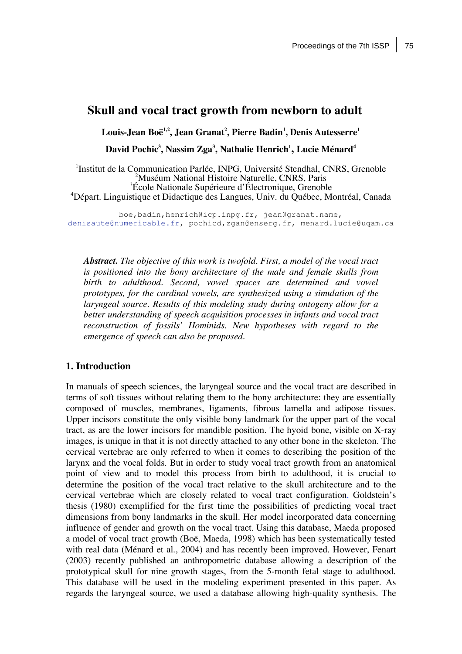# **Skull and vocal tract growth from newborn to adult**

 $\bf{Louis-Jean Boë}^{1,2}$ ,  $\bf{Jean Gran Granat}^{2},$   $\bf{ Pierre Badin}^{1},$   $\bf{Denis Autesserre}^{1}$ 

**David Pochic3 , Nassim Zga3 , Nathalie Henrich1 , Lucie Ménard<sup>4</sup>**

<sup>1</sup>Institut de la Communication Parlée, INPG, Université Stendhal, CNRS, Grenoble Muséum National Histoire Naturelle, CNRS, Paris École Nationale Supérieure d'Électronique, Grenoble Départ. Linguistique et Didactique des Langues, Univ. du Québec, Montréal, Canada

boe,badin,henrich@icp.inpg.fr, jean@granat.name, denisaute@numericable.fr, pochicd,zgan@enserg.fr, menard.lucie@uqam.ca

*Abstract. The objective of this work is twofold. First, a model of the vocal tract is positioned into the bony architecture of the male and female skulls from birth to adulthood. Second, vowel spaces are determined and vowel prototypes, for the cardinal vowels, are synthesized using a simulation of the laryngeal source. Results of this modeling study during ontogeny allow for a better understanding of speech acquisition processes in infants and vocal tract reconstruction of fossils' Hominids. New hypotheses with regard to the emergence of speech can also be proposed.*

#### **1. Introduction**

In manuals of speech sciences, the laryngeal source and the vocal tract are described in terms of soft tissues without relating them to the bony architecture: they are essentially composed of muscles, membranes, ligaments, fibrous lamella and adipose tissues. Upper incisors constitute the only visible bony landmark for the upper part of the vocal tract, as are the lower incisors for mandible position. The hyoid bone, visible on X-ray images, is unique in that it is not directly attached to any other bone in the skeleton. The cervical vertebrae are only referred to when it comes to describing the position of the larynx and the vocal folds. But in order to study vocal tract growth from an anatomical point of view and to model this process from birth to adulthood, it is crucial to determine the position of the vocal tract relative to the skull architecture and to the cervical vertebrae which are closely related to vocal tract configuration. Goldstein's thesis (1980) exemplified for the first time the possibilities of predicting vocal tract dimensions from bony landmarks in the skull. Her model incorporated data concerning influence of gender and growth on the vocal tract. Using this database, Maeda proposed a model of vocal tract growth (Boë, Maeda, 1998) which has been systematically tested with real data (Ménard et al., 2004) and has recently been improved. However, Fenart (2003) recently published an anthropometric database allowing a description of the prototypical skull for nine growth stages, from the 5-month fetal stage to adulthood. This database will be used in the modeling experiment presented in this paper. As regards the laryngeal source, we used a database allowing high-quality synthesis. The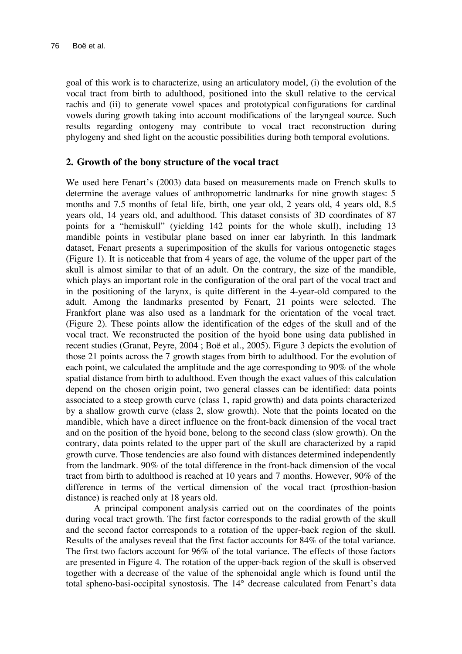goal of this work is to characterize, using an articulatory model, (i) the evolution of the vocal tract from birth to adulthood, positioned into the skull relative to the cervical rachis and (ii) to generate vowel spaces and prototypical configurations for cardinal vowels during growth taking into account modifications of the laryngeal source. Such results regarding ontogeny may contribute to vocal tract reconstruction during phylogeny and shed light on the acoustic possibilities during both temporal evolutions.

### **2. Growth of the bony structure of the vocal tract**

We used here Fenart's (2003) data based on measurements made on French skulls to determine the average values of anthropometric landmarks for nine growth stages: 5 months and 7.5 months of fetal life, birth, one year old, 2 years old, 4 years old, 8.5 years old, 14 years old, and adulthood. This dataset consists of 3D coordinates of 87 points for a "hemiskull" (yielding 142 points for the whole skull), including 13 mandible points in vestibular plane based on inner ear labyrinth. In this landmark dataset, Fenart presents a superimposition of the skulls for various ontogenetic stages (Figure 1). It is noticeable that from 4 years of age, the volume of the upper part of the skull is almost similar to that of an adult. On the contrary, the size of the mandible, which plays an important role in the configuration of the oral part of the vocal tract and in the positioning of the larynx, is quite different in the 4-year-old compared to the adult. Among the landmarks presented by Fenart, 21 points were selected. The Frankfort plane was also used as a landmark for the orientation of the vocal tract. (Figure 2). These points allow the identification of the edges of the skull and of the vocal tract. We reconstructed the position of the hyoid bone using data published in recent studies (Granat, Peyre, 2004 ; Boë et al., 2005). Figure 3 depicts the evolution of those 21 points across the 7 growth stages from birth to adulthood. For the evolution of each point, we calculated the amplitude and the age corresponding to 90% of the whole spatial distance from birth to adulthood. Even though the exact values of this calculation depend on the chosen origin point, two general classes can be identified: data points associated to a steep growth curve (class 1, rapid growth) and data points characterized by a shallow growth curve (class 2, slow growth). Note that the points located on the mandible, which have a direct influence on the front-back dimension of the vocal tract and on the position of the hyoid bone, belong to the second class (slow growth). On the contrary, data points related to the upper part of the skull are characterized by a rapid growth curve. Those tendencies are also found with distances determined independently from the landmark. 90% of the total difference in the front-back dimension of the vocal tract from birth to adulthood is reached at 10 years and 7 months. However, 90% of the difference in terms of the vertical dimension of the vocal tract (prosthion-basion distance) is reached only at 18 years old.

A principal component analysis carried out on the coordinates of the points during vocal tract growth. The first factor corresponds to the radial growth of the skull and the second factor corresponds to a rotation of the upper-back region of the skull. Results of the analyses reveal that the first factor accounts for 84% of the total variance. The first two factors account for 96% of the total variance. The effects of those factors are presented in Figure 4. The rotation of the upper-back region of the skull is observed together with a decrease of the value of the sphenoidal angle which is found until the total spheno-basi-occipital synostosis. The 14° decrease calculated from Fenart's data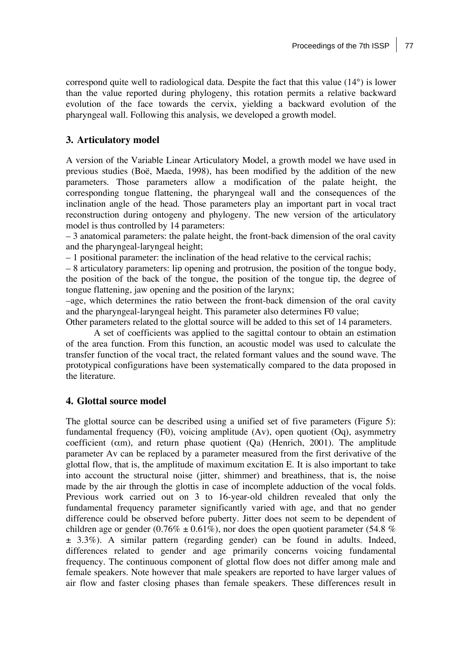correspond quite well to radiological data. Despite the fact that this value (14°) is lower than the value reported during phylogeny, this rotation permits a relative backward evolution of the face towards the cervix, yielding a backward evolution of the pharyngeal wall. Following this analysis, we developed a growth model.

## **3. Articulatory model**

A version of the Variable Linear Articulatory Model, a growth model we have used in previous studies (Boë, Maeda, 1998), has been modified by the addition of the new parameters. Those parameters allow a modification of the palate height, the corresponding tongue flattening, the pharyngeal wall and the consequences of the inclination angle of the head. Those parameters play an important part in vocal tract reconstruction during ontogeny and phylogeny. The new version of the articulatory model is thus controlled by 14 parameters:

– 3 anatomical parameters: the palate height, the front-back dimension of the oral cavity and the pharyngeal-laryngeal height;

– 1 positional parameter: the inclination of the head relative to the cervical rachis;

– 8 articulatory parameters: lip opening and protrusion, the position of the tongue body, the position of the back of the tongue, the position of the tongue tip, the degree of tongue flattening, jaw opening and the position of the larynx;

–age, which determines the ratio between the front-back dimension of the oral cavity and the pharyngeal-laryngeal height. This parameter also determines F0 value;

Other parameters related to the glottal source will be added to this set of 14 parameters.

A set of coefficients was applied to the sagittal contour to obtain an estimation of the area function. From this function, an acoustic model was used to calculate the transfer function of the vocal tract, the related formant values and the sound wave. The prototypical configurations have been systematically compared to the data proposed in the literature.

# **4. Glottal source model**

The glottal source can be described using a unified set of five parameters (Figure 5): fundamental frequency (F0), voicing amplitude (Av), open quotient (Oq), asymmetry coefficient ( $\alpha$ m), and return phase quotient ( $\alpha$ a) (Henrich, 2001). The amplitude parameter Av can be replaced by a parameter measured from the first derivative of the glottal flow, that is, the amplitude of maximum excitation E. It is also important to take into account the structural noise (jitter, shimmer) and breathiness, that is, the noise made by the air through the glottis in case of incomplete adduction of the vocal folds. Previous work carried out on 3 to 16-year-old children revealed that only the fundamental frequency parameter significantly varied with age, and that no gender difference could be observed before puberty. Jitter does not seem to be dependent of children age or gender (0.76%  $\pm$  0.61%), nor does the open quotient parameter (54.8 %) ± 3.3%). A similar pattern (regarding gender) can be found in adults. Indeed, differences related to gender and age primarily concerns voicing fundamental frequency. The continuous component of glottal flow does not differ among male and female speakers. Note however that male speakers are reported to have larger values of air flow and faster closing phases than female speakers. These differences result in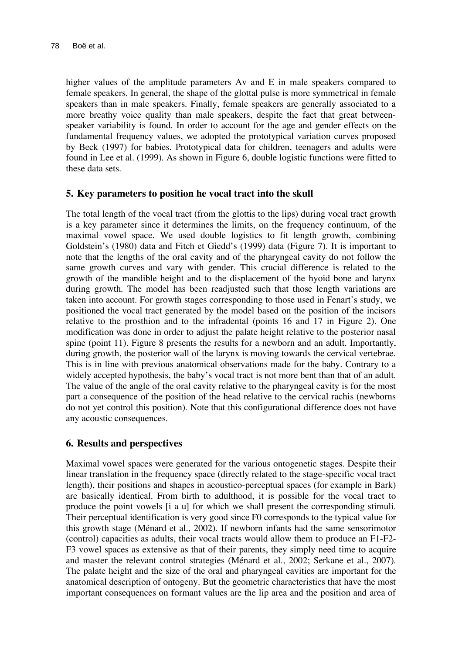higher values of the amplitude parameters Av and E in male speakers compared to female speakers. In general, the shape of the glottal pulse is more symmetrical in female speakers than in male speakers. Finally, female speakers are generally associated to a more breathy voice quality than male speakers, despite the fact that great betweenspeaker variability is found. In order to account for the age and gender effects on the fundamental frequency values, we adopted the prototypical variation curves proposed by Beck (1997) for babies. Prototypical data for children, teenagers and adults were found in Lee et al. (1999). As shown in Figure 6, double logistic functions were fitted to these data sets.

### **5. Key parameters to position he vocal tract into the skull**

The total length of the vocal tract (from the glottis to the lips) during vocal tract growth is a key parameter since it determines the limits, on the frequency continuum, of the maximal vowel space. We used double logistics to fit length growth, combining Goldstein's (1980) data and Fitch et Giedd's (1999) data (Figure 7). It is important to note that the lengths of the oral cavity and of the pharyngeal cavity do not follow the same growth curves and vary with gender. This crucial difference is related to the growth of the mandible height and to the displacement of the hyoid bone and larynx during growth. The model has been readjusted such that those length variations are taken into account. For growth stages corresponding to those used in Fenart's study, we positioned the vocal tract generated by the model based on the position of the incisors relative to the prosthion and to the infradental (points 16 and 17 in Figure 2). One modification was done in order to adjust the palate height relative to the posterior nasal spine (point 11). Figure 8 presents the results for a newborn and an adult. Importantly, during growth, the posterior wall of the larynx is moving towards the cervical vertebrae. This is in line with previous anatomical observations made for the baby. Contrary to a widely accepted hypothesis, the baby's vocal tract is not more bent than that of an adult. The value of the angle of the oral cavity relative to the pharyngeal cavity is for the most part a consequence of the position of the head relative to the cervical rachis (newborns do not yet control this position). Note that this configurational difference does not have any acoustic consequences.

# **6. Results and perspectives**

Maximal vowel spaces were generated for the various ontogenetic stages. Despite their linear translation in the frequency space (directly related to the stage-specific vocal tract length), their positions and shapes in acoustico-perceptual spaces (for example in Bark) are basically identical. From birth to adulthood, it is possible for the vocal tract to produce the point vowels [i a u] for which we shall present the corresponding stimuli. Their perceptual identification is very good since F0 corresponds to the typical value for this growth stage (Ménard et al., 2002). If newborn infants had the same sensorimotor (control) capacities as adults, their vocal tracts would allow them to produce an F1-F2- F3 vowel spaces as extensive as that of their parents, they simply need time to acquire and master the relevant control strategies (Ménard et al., 2002; Serkane et al., 2007). The palate height and the size of the oral and pharyngeal cavities are important for the anatomical description of ontogeny. But the geometric characteristics that have the most important consequences on formant values are the lip area and the position and area of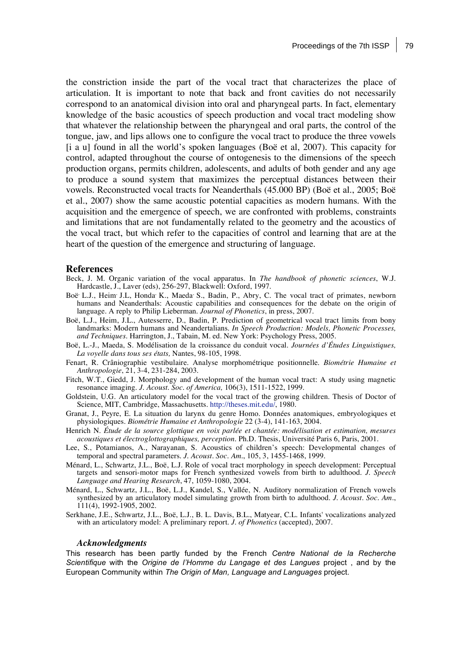the constriction inside the part of the vocal tract that characterizes the place of articulation. It is important to note that back and front cavities do not necessarily correspond to an anatomical division into oral and pharyngeal parts. In fact, elementary knowledge of the basic acoustics of speech production and vocal tract modeling show that whatever the relationship between the pharyngeal and oral parts, the control of the tongue, jaw, and lips allows one to configure the vocal tract to produce the three vowels [i a u] found in all the world's spoken languages (Boë et al, 2007). This capacity for control, adapted throughout the course of ontogenesis to the dimensions of the speech production organs, permits children, adolescents, and adults of both gender and any age to produce a sound system that maximizes the perceptual distances between their vowels. Reconstructed vocal tracts for Neanderthals (45.000 BP) (Boë et al., 2005; Boë et al., 2007) show the same acoustic potential capacities as modern humans. With the acquisition and the emergence of speech, we are confronted with problems, constraints and limitations that are not fundamentally related to the geometry and the acoustics of the vocal tract, but which refer to the capacities of control and learning that are at the heart of the question of the emergence and structuring of language.

#### **References**

- Beck, J. M. Organic variation of the vocal apparatus. In *The handbook of phonetic sciences*, W.J. Hardcastle, J., Laver (eds), 256-297, Blackwell: Oxford, 1997.
- Boë, L.J., Heim, J.L., Honda, K., Maeda, S., Badin, P., Abry, C. The vocal tract of primates, newborn humans and Neanderthals: Acoustic capabilities and consequences for the debate on the origin of language. A reply to Philip Lieberman*. Journal of Phonetics*, in press, 2007.
- Boë, L.J., Heim, J.L., Autesserre, D., Badin, P. Prediction of geometrical vocal tract limits from bony landmarks: Modern humans and Neandertalians. *In Speech Production: Models, Phonetic Processes, and Techniques.* Harrington, J., Tabain, M. ed. New York: Psychology Press, 2005.
- Boë, L.-J., Maeda, S. Modélisation de la croissance du conduit vocal. *Journées d'Études Linguistiques, La voyelle dans tous ses états,* Nantes, 98-105, 1998.
- Fenart, R. Crâniographie vestibulaire. Analyse morphométrique positionnelle. *Biométrie Humaine et Anthropologie*, 21, 3-4, 231-284, 2003.
- Fitch, W.T., Giedd, J. Morphology and development of the human vocal tract: A study using magnetic resonance imaging. *J. Acoust. Soc. of America,* 106(3), 1511-1522, 1999.
- Goldstein, U.G. An articulatory model for the vocal tract of the growing children. Thesis of Doctor of Science, MIT, Cambridge, Massachusetts. http://theses.mit.edu/, 1980.
- Granat, J., Peyre, E. La situation du larynx du genre Homo. Données anatomiques, embryologiques et physiologiques. *Biométrie Humaine et Anthropologie* 22 (3-4), 141-163, 2004.
- Henrich N. *Étude de la source glottique en voix parlée et chantée: modélisation et estimation, mesures acoustiques et électroglottographiques, perception.* Ph.D. Thesis, Université Paris 6, Paris, 2001.
- Lee, S., Potamianos, A., Narayanan, S. Acoustics of children's speech: Developmental changes of temporal and spectral parameters. *J. Acoust. Soc. Am.*, 105, 3, 1455-1468, 1999.
- Ménard, L., Schwartz, J.L., Boë, L.J. Role of vocal tract morphology in speech development: Perceptual targets and sensori-motor maps for French synthesized vowels from birth to adulthood*. J. Speech Language and Hearing Research*, 47, 1059-1080, 2004.
- Ménard, L., Schwartz, J.L., Boë, L.J., Kandel, S., Vallée, N. Auditory normalization of French vowels synthesized by an articulatory model simulating growth from birth to adulthood. *J. Acoust. Soc. Am.*, 111(4), 1992-1905, 2002.
- Serkhane, J.E., Schwartz, J.L., Boë, L.J., B. L. Davis, B.L., Matyear, C.L. Infants' vocalizations analyzed with an articulatory model: A preliminary report. *J. of Phonetics* (accepted), 2007.

#### *Acknowledgments*

This research has been partly funded by the French *Centre National de la Recherche Scientifique* with the *Origine de l'Homme du Langage et des Langues* project , and by the European Community within *The Origin of Man, Language and Languages* project.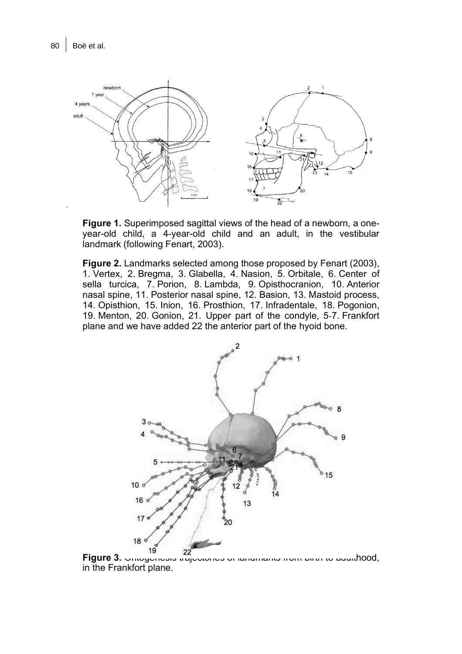

**Figure 1.** Superimposed sagittal views of the head of a newborn, a oneyear-old child, a 4-year-old child and an adult, in the vestibular landmark (following Fenart, 2003).

**Figure 2.** Landmarks selected among those proposed by Fenart (2003), 1. Vertex, 2. Bregma, 3. Glabella, 4. Nasion, 5. Orbitale, 6. Center of sella turcica, 7. Porion, 8. Lambda, 9. Opisthocranion, 10. Anterior nasal spine, 11. Posterior nasal spine, 12. Basion, 13. Mastoid process, 14. Opisthion, 15. Inion, 16. Prosthion, 17. Infradentale, 18. Pogonion, 19. Menton, 20. Gonion, 21. Upper part of the condyle, 5-7. Frankfort plane and we have added 22 the anterior part of the hyoid bone.



**Figure 3.** Ontogenesis trajectories of landmarks from birth to adulthood, in the Frankfort plane.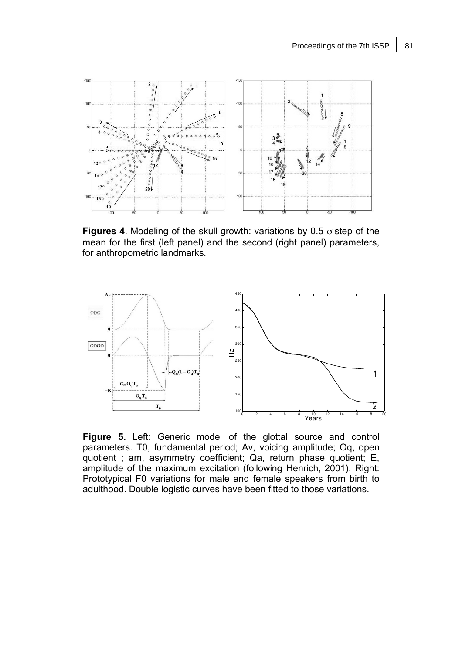

**Figures 4**. Modeling of the skull growth: variations by 0.5 σ step of the mean for the first (left panel) and the second (right panel) parameters, for anthropometric landmarks.



**Figure 5.** Left: Generic model of the glottal source and control parameters. T0, fundamental period; Av, voicing amplitude; Oq, open quotient ; am, asymmetry coefficient; Qa, return phase quotient; E, amplitude of the maximum excitation (following Henrich, 2001). Right: Prototypical F0 variations for male and female speakers from birth to adulthood. Double logistic curves have been fitted to those variations.